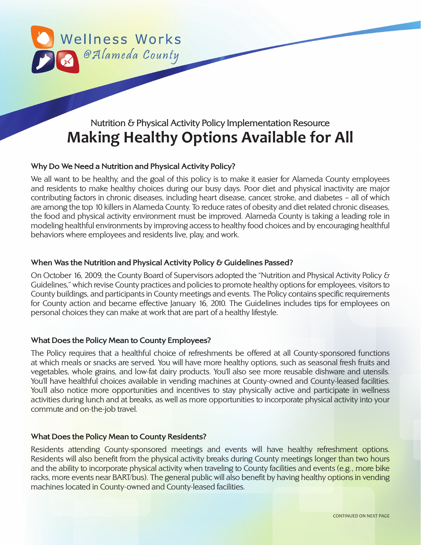

# Nutrition & Physical Activity Policy Implementation Resource **Making Healthy Options Available for All**

# **Why Do We Need a Nutrition and Physical Activity Policy?**

We all want to be healthy, and the goal of this policy is to make it easier for Alameda County employees and residents to make healthy choices during our busy days. Poor diet and physical inactivity are major contributing factors in chronic diseases, including heart disease, cancer, stroke, and diabetes – all of which are among the top 10 killers in Alameda County. To reduce rates of obesity and diet related chronic diseases, the food and physical activity environment must be improved. Alameda County is taking a leading role in modeling healthful environments by improving access to healthy food choices and by encouraging healthful behaviors where employees and residents live, play, and work.

## **When Was the Nutrition and Physical Activity Policy & Guidelines Passed?**

On October 16, 2009, the County Board of Supervisors adopted the "Nutrition and Physical Activity Policy & Guidelines," which revise County practices and policies to promote healthy options for employees, visitors to County buildings, and participants in County meetings and events. The Policy contains specific requirements for County action and became effective January 16, 2010. The Guidelines includes tips for employees on personal choices they can make at work that are part of a healthy lifestyle.

### **What Does the Policy Mean to County Employees?**

The Policy requires that a healthful choice of refreshments be offered at all County-sponsored functions at which meals or snacks are served. You will have more healthy options, such as seasonal fresh fruits and vegetables, whole grains, and low-fat dairy products. You'll also see more reusable dishware and utensils. You'll have healthful choices available in vending machines at County-owned and County-leased facilities. You'll also notice more opportunities and incentives to stay physically active and participate in wellness activities during lunch and at breaks, as well as more opportunities to incorporate physical activity into your commute and on-the-job travel.

### **What Does the Policy Mean to County Residents?**

Residents attending County-sponsored meetings and events will have healthy refreshment options. Residents will also benefit from the physical activity breaks during County meetings longer than two hours and the ability to incorporate physical activity when traveling to County facilities and events (e.g., more bike racks, more events near BART/bus). The general public will also benefit by having healthy options in vending machines located in County-owned and County-leased facilities.